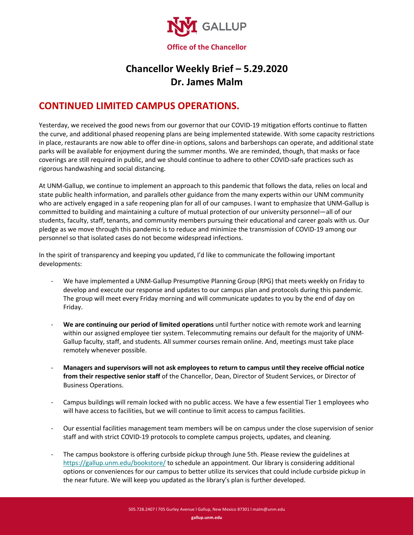

## **Chancellor Weekly Brief – 5.29.2020 Dr. James Malm**

## **CONTINUED LIMITED CAMPUS OPERATIONS.**

Yesterday, we received the good news from our governor that our COVID-19 mitigation efforts continue to flatten the curve, and additional phased reopening plans are being implemented statewide. With some capacity restrictions in place, restaurants are now able to offer dine-in options, salons and barbershops can operate, and additional state parks will be available for enjoyment during the summer months. We are reminded, though, that masks or face coverings are still required in public, and we should continue to adhere to other COVID-safe practices such as rigorous handwashing and social distancing.

At UNM-Gallup, we continue to implement an approach to this pandemic that follows the data, relies on local and state public health information, and parallels other guidance from the many experts within our UNM community who are actively engaged in a safe reopening plan for all of our campuses. I want to emphasize that UNM-Gallup is committed to building and maintaining a culture of mutual protection of our university personnel—all of our students, faculty, staff, tenants, and community members pursuing their educational and career goals with us. Our pledge as we move through this pandemic is to reduce and minimize the transmission of COVID-19 among our personnel so that isolated cases do not become widespread infections.

In the spirit of transparency and keeping you updated, I'd like to communicate the following important developments:

- We have implemented a UNM-Gallup Presumptive Planning Group (RPG) that meets weekly on Friday to develop and execute our response and updates to our campus plan and protocols during this pandemic. The group will meet every Friday morning and will communicate updates to you by the end of day on Friday.
- **We are continuing our period of limited operations** until further notice with remote work and learning within our assigned employee tier system. Telecommuting remains our default for the majority of UNM-Gallup faculty, staff, and students. All summer courses remain online. And, meetings must take place remotely whenever possible.
- **Managers and supervisors will not ask employees to return to campus until they receive official notice from their respective senior staff** of the Chancellor, Dean, Director of Student Services, or Director of Business Operations.
- Campus buildings will remain locked with no public access. We have a few essential Tier 1 employees who will have access to facilities, but we will continue to limit access to campus facilities.
- Our essential facilities management team members will be on campus under the close supervision of senior staff and with strict COVID-19 protocols to complete campus projects, updates, and cleaning.
- The campus bookstore is offering curbside pickup through June 5th. Please review the guidelines at <https://gallup.unm.edu/bookstore/> to schedule an appointment. Our library is considering additional options or conveniences for our campus to better utilize its services that could include curbside pickup in the near future. We will keep you updated as the library's plan is further developed.